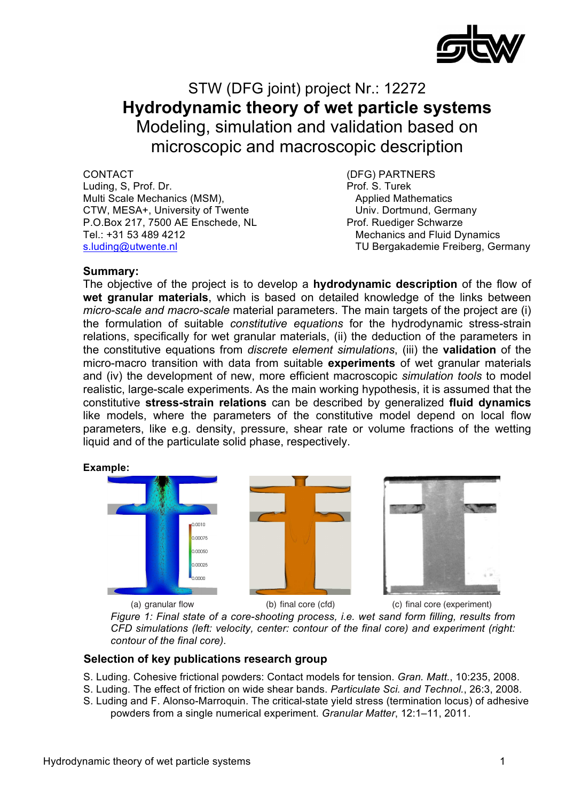

# STW (DFG joint) project Nr.: 12272 **Hydrodynamic theory of wet particle systems** Modeling, simulation and validation based on microscopic and macroscopic description

CONTACT (DFG) PARTNERS Luding, S, Prof. Dr. Prof. S. Turek Multi Scale Mechanics (MSM), Applied Mathematics CTW, MESA+, University of Twente The Univ. Dortmund, Germany P.O.Box 217, 7500 AE Enschede, NL Prof. Ruediger Schwarze Tel.: +31 53 489 4212 Mechanics and Fluid Dynamics

s.luding@utwente.nl TU Bergakademie Freiberg, Germany

## **Summary:**

The objective of the project is to develop a **hydrodynamic description** of the flow of wet granular materials, which is based on detailed knowledge of the links between *micro-scale and macro-scale* material parameters. The main targets of the project are (i) the formulation of suitable *constitutive equations* for the hydrodynamic stress-strain relations, specifically for wet granular materials, (ii) the deduction of the parameters in the constitutive equations from *discrete element simulations*, (iii) the **validation** of the micro-macro transition with data from suitable **experiments** of wet granular materials and (iv) the development of new, more efficient macroscopic simulation tools to model realistic, large-scale experiments. As the main working hypothesis, it is assumed that the constitutive stress-strain relations can be described by generalized fluid dynamics like models, where the parameters of the constitutive model depend on local flow molding measure, molding parameters of the conditional model depends on recall holding<br>parameters, like e.g. density, pressure, shear rate or volume fractions of the wetting liquid and of the particulate solid phase, respectively. c<br>C ribed by generalized fluid dy ic<br>n

#### **Example:**



*CFD simulations (left: velocity, center: contour of the final core) and experiment (right:* contour of the final core). **contour of the final core.** *Figure 1: Final state of a core-shooting process, i.e. wet sand form filling, results from* 

## **Selection of key publications research group**

- material, particularly for drawing powders which had been been been based on extensions of the well-S. Luding. Cohesive frictional powders: Contact models for tension. *Gran. Matt.*, 10:235, 2008.
- S. Luding. The effect of friction on wide shear bands. *Particulate Sci. and Technol.*, 26:3, 2008.
- S. Luding and F. Alonso-Marroquin. The critical-state yield stress (termination locus) of adhesive powders from a single numerical experiment. *Granular Matter*, 12:1–11, 2011.